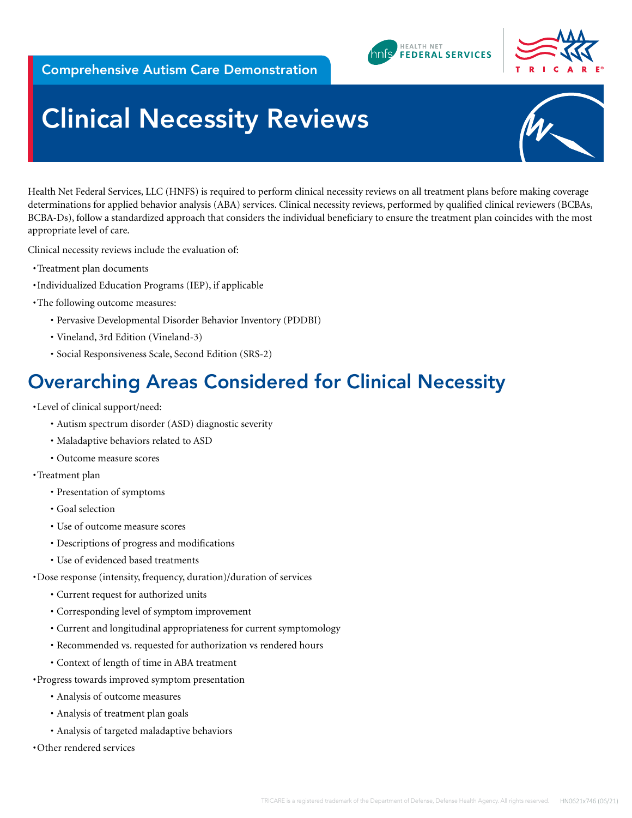





# **Clinical Necessity Reviews**

Health Net Federal Services, LLC (HNFS) is required to perform clinical necessity reviews on all treatment plans before making coverage determinations for applied behavior analysis (ABA) services. Clinical necessity reviews, performed by qualified clinical reviewers (BCBAs, BCBA-Ds), follow a standardized approach that considers the individual beneficiary to ensure the treatment plan coincides with the most appropriate level of care.

Clinical necessity reviews include the evaluation of:

- •Treatment plan documents
- •Individualized Education Programs (IEP), if applicable
- •The following outcome measures:
	- Pervasive Developmental Disorder Behavior Inventory (PDDBI)
	- Vineland, 3rd Edition (Vineland-3)
	- Social Responsiveness Scale, Second Edition (SRS-2)

### Overarching Areas Considered for Clinical Necessity

•Level of clinical support/need:

- Autism spectrum disorder (ASD) diagnostic severity
- Maladaptive behaviors related to ASD
- Outcome measure scores

•Treatment plan

- Presentation of symptoms
- Goal selection
- Use of outcome measure scores
- Descriptions of progress and modifications
- Use of evidenced based treatments
- •Dose response (intensity, frequency, duration)/duration of services
	- Current request for authorized units
	- Corresponding level of symptom improvement
	- Current and longitudinal appropriateness for current symptomology
	- Recommended vs. requested for authorization vs rendered hours
	- Context of length of time in ABA treatment
- •Progress towards improved symptom presentation
	- Analysis of outcome measures
	- Analysis of treatment plan goals
	- Analysis of targeted maladaptive behaviors
- •Other rendered services

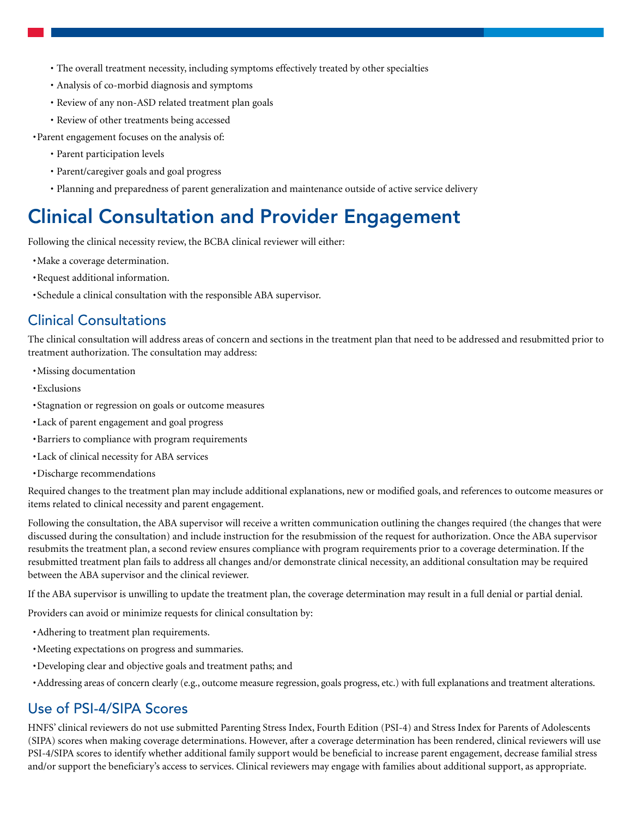- The overall treatment necessity, including symptoms effectively treated by other specialties
- Analysis of co-morbid diagnosis and symptoms
- Review of any non-ASD related treatment plan goals
- Review of other treatments being accessed

•Parent engagement focuses on the analysis of:

- Parent participation levels
- Parent/caregiver goals and goal progress
- Planning and preparedness of parent generalization and maintenance outside of active service delivery

# Clinical Consultation and Provider Engagement

Following the clinical necessity review, the BCBA clinical reviewer will either:

- •Make a coverage determination.
- •Request additional information.
- •Schedule a clinical consultation with the responsible ABA supervisor.

#### Clinical Consultations

The clinical consultation will address areas of concern and sections in the treatment plan that need to be addressed and resubmitted prior to treatment authorization. The consultation may address:

- •Missing documentation
- •Exclusions
- •Stagnation or regression on goals or outcome measures
- •Lack of parent engagement and goal progress
- •Barriers to compliance with program requirements
- •Lack of clinical necessity for ABA services
- •Discharge recommendations

Required changes to the treatment plan may include additional explanations, new or modified goals, and references to outcome measures or items related to clinical necessity and parent engagement.

Following the consultation, the ABA supervisor will receive a written communication outlining the changes required (the changes that were discussed during the consultation) and include instruction for the resubmission of the request for authorization. Once the ABA supervisor resubmits the treatment plan, a second review ensures compliance with program requirements prior to a coverage determination. If the resubmitted treatment plan fails to address all changes and/or demonstrate clinical necessity, an additional consultation may be required between the ABA supervisor and the clinical reviewer.

If the ABA supervisor is unwilling to update the treatment plan, the coverage determination may result in a full denial or partial denial.

Providers can avoid or minimize requests for clinical consultation by:

- •Adhering to treatment plan requirements.
- •Meeting expectations on progress and summaries.
- •Developing clear and objective goals and treatment paths; and
- •Addressing areas of concern clearly (e.g., outcome measure regression, goals progress, etc.) with full explanations and treatment alterations.

#### Use of PSI-4/SIPA Scores

HNFS' clinical reviewers do not use submitted Parenting Stress Index, Fourth Edition (PSI-4) and Stress Index for Parents of Adolescents (SIPA) scores when making coverage determinations. However, after a coverage determination has been rendered, clinical reviewers will use PSI-4/SIPA scores to identify whether additional family support would be beneficial to increase parent engagement, decrease familial stress and/or support the beneficiary's access to services. Clinical reviewers may engage with families about additional support, as appropriate.